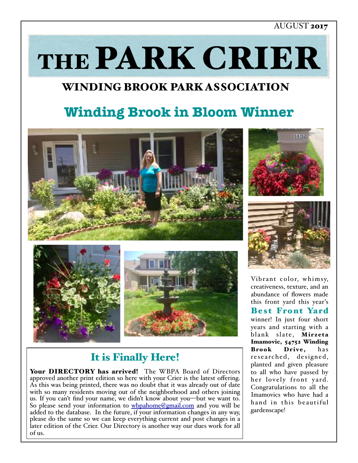### AUGUST 2017

THE PARK CRIER

# WINDING BROOK PARK ASSOCIATION

# **Winding Brook in Bloom Winner**







# It is Finally Here!

Your DIRECTORY has arrived! The WBPA Board of Directors approved another print edition so here with your Crier is the latest offering. As this was being printed, there was no doubt that it was already out of date with so many residents moving out of the neighborhood and others joining us. If you can't find your name, we didn't know about you—but we want to. So please send your information to [wbpahome@gmail.com](mailto:wbpahome@gmail.com) and you will be added to the database. In the future, if your information changes in any way, please do the same so we can keep everything current and post changes in a later edition of the Crier. Our Directory is another way our dues work for all of us.

Vibrant color, whimsy, creativeness, texture, and an abundance of flowers made this front yard this year's Best Front Yard winner! In just four short years and starting with a blank slate, Mirzeta Imamovic, 54752 Winding Brook Drive, has researched, designed, planted and given pleasure to all who have passed by her lovely front yard. Congratulations to all the Imamovics who have had a hand in this beautiful gardenscape!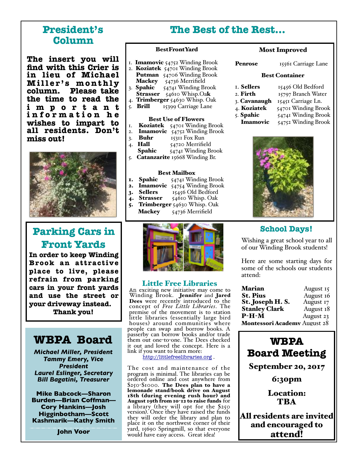### **President's Column**

**The insert you will find with this Crier is in lieu of Michael Miller's monthly column. Please take the time to read the i m p o r t a n t i n f o r m a t i o n h e wishes to impart to all residents. Don't miss out!**



# **Parking Cars in Front Yards**

**In order to keep Winding Brook an attractive place to live, please refrain from parking cars in your front yards and use the street or your driveway instead.** 

**Thank you!**

## **WBPA Board**

*Michael Miller, President Tammy Emery, Vice President Laurel Eslinger, Secretary Bill Bagatini, Treasurer*

**Mike Babcock—Sharon Burden—Brian Coffman— Cory Hankins—Josh Higginbotham—Scott Kashmarik—Kathy Smith**

**John Voor**

### **The Best of the Rest…**

#### BestFrontYard

- 1. **Imamovic** 54752 Winding Brook
- 2. Koziatek  $54701$  Winding Brook Putman 54706 Winding Brook Mackey 54736 Merrifield
- 3. **Spahic**  $54741$  Winding Brook Strasser 54610 Whisp.Oak
- 
- 4. Trimberger 54630 Whisp. Oak<br>5. Brill 15399 Carriage Lane 15399 Carriage Lane

#### Best Use of Flowers

- 1. Koziatek 54701 Winding Brook
- 2. **Imamovic** 54752 Winding Brook
- 3. **Buhr**  $15311$  Fox Run<br>4. **Hall**  $54720$  Merrifie
- 
- Hall 54720 Merrifield<br>Spahic 54741 Winding Br 54741 Winding Brook
- 5. Catanzarite 15668 Winding Br.

- Best Mailbox<br>1. Spahic 54741 Win 54741 Winding Brook
- 2. **Imamovic**  $54754$  Winding Brook<br>**3. Sellers**  $15456$  Old Bedford
- 3. Sellers  $15456$  Old Bedford<br>4. Strasser  $54610$  Whisp. Oak
- 54610 Whisp. Oak
- 5. Trimberger  $54630$  Whisp. Oak
	- Mackey 54736 Merrifield



**Little Free Libraries**<br>An exciting new initiative may come to Winding Brook. Jennifer and Jared Dees were recently introduced to the concept of *Free Little Libraries*. The premise of the movement is to station little libraries (essentially large bird houses) around communities where people can swap and borrow books. A passerby can borrow books and/or trade them out one-to-one. The Dees checked it out and loved the concept. Here is a link if you want to learn more:

<http://littlefreelibraries.org> .

The cost and maintenance of the program is minimal. The libraries can be ordered online and cost anywhere from \$250-\$1000. The Dees plan to have a lemonade stand/book drive on August 18th (during evening rush hour) and August 19th from 10-12 to raise funds for a library (they will opt for the \$250 they will order the library and plan to place it on the northwest corner of their yard, 15690 Springmill, so that everyone would have easy access. Great idea!

#### Most Improved

Penrose 15561 Carriage Lane

#### Best Container

| 1. <b>Sellers</b>   | 15456 Old Bedford   |
|---------------------|---------------------|
| 2. Firth            | 15797 Branch Water  |
| 3. <b>Cavanaugh</b> | 15451 Carriage Ln.  |
| 4. <b>Koziatek</b>  | 54701 Winding Brook |
| 5. Spahic           | 54741 Winding Brook |

Imamovic 54752 Winding Brook



### **School Days!**

Wishing a great school year to all of our Winding Brook students!

Here are some starting days for some of the schools our students attend:

| <b>Marian</b>                       | August 15 |  |
|-------------------------------------|-----------|--|
| <b>St. Pius</b>                     | August 16 |  |
| St. Joseph H.S.                     | August 17 |  |
| <b>Stanley Clark</b>                | August 18 |  |
| $P-H-M$                             | August 23 |  |
| <b>Montessori Academy August 28</b> |           |  |

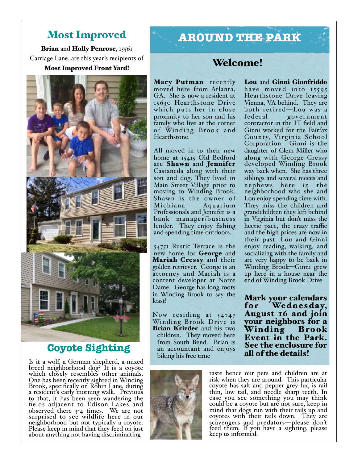### Most Improved

Brian and Holly Penrose, 15561 Carriage Lane, are this year's recipients of

### Most Improved Front Yard!



### **Coyote Sighting**

Is it a wolf, a German shepherd, a mixed breed neighborhood dog? It is a coyote which closely resembles other animals. One has been recently sighted in Winding Brook, specifically on Robin Lane, during a resident's early morning walk. Previous to that, it has been seen wandering the fields adjacent to Edison Lakes and observed there 3-4 times. We are not surprised to see wildlife here in our neighborhood but not typically a coyote. Please keep in mind that they feed on just about anything not having discriminating

# **AROUND THE PARK**

### Welcome!

Mary Putman recently moved here from Atlanta, GA. She is now a resident at 15630 Hearthstone Drive which puts her in close proximity to her son and his family who live at the corner of Winding Brook and Hearthstone.

All moved in to their new home at 15415 Old Bedford are Shawn and Jennifer Castaneda along with their son and dog. They lived in Main Street Village prior to moving to Winding Brook. Shawn is the owner of Aquarium Professionals and Jennifer is a bank mana ger/business lender. They enjoy fishing and spending time outdoors.

54751 Rustic Terrace is the new home for George and Mariah Cressy and their golden retriever. George is an attorney and Mariah is a content developer at Notre Dame. George has long roots in Winding Brook to say the least!

Now residing at 54747 Winding Brook Drive is Brian Krizder and his two children. They moved here from South Bend. Brian is an accountant and enjoys biking his free time

Lou and Ginni Gionfriddo have moved into 15595 Hearthstone Drive leaving Vienna, VA behind. They are both retired—Lou was a federal government contractor in the IT field and Ginni worked for the Fairfax County, Virginia School Corporation. Ginni is the daughter of Clem Miller who along with George Cressy developed Winding Brook way back when. She has three siblings and several nieces and nephews here in the neighborhood who she and Lou enjoy spending time with. They miss the children and grandchildren they left behind in Virginia but don't miss the hectic pace, the crazy traffic and the high prices are now in their past. Lou and Ginni enjoy reading, walking, and socializing with the family and are very happy to be back in Winding Brook—Ginni grew up here in a house near the end of Winding Brook Drive

Mark your calendars We dnesday, August 16 and join your neighbors for a Winding Brook Event in the Park. See the enclosure for all of the details!



taste hence our pets and children are at risk when they are around. This particular coyote has salt and pepper grey fur, is rail thin, low tail, and needle sharp teeth. In case you see something you may think could be a coyote but are not sure, keep in mind that dogs run with their tails up and coyotes with their tails down. They are scavengers and predators—please don't feed them. If you have a sighting, please keep us informed.